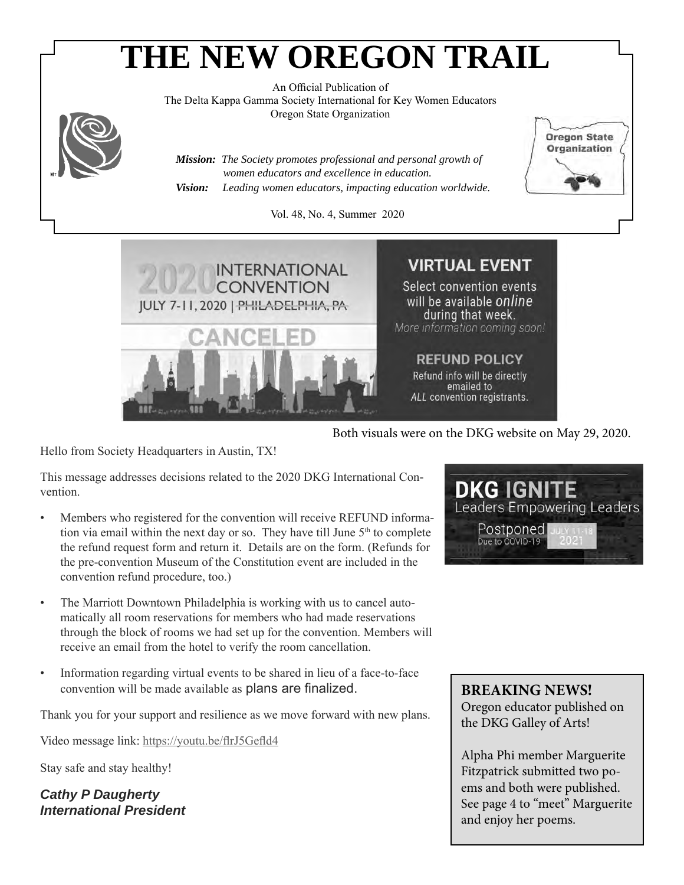# **THE NEW OREGON TRAIL**

An Official Publication of The Delta Kappa Gamma Society International for Key Women Educators Oregon State Organization

*Mission: The Society promotes professional and personal growth of women educators and excellence in education. Vision: Leading women educators, impacting education worldwide.*

Vol. 48, No. 4, Summer 2020



Hello from Society Headquarters in Austin, TX!

This message addresses decisions related to the 2020 DKG International Convention.

- Members who registered for the convention will receive REFUND information via email within the next day or so. They have till June 5<sup>th</sup> to complete the refund request form and return it. Details are on the form. (Refunds for the pre-convention Museum of the Constitution event are included in the convention refund procedure, too.)
- The Marriott Downtown Philadelphia is working with us to cancel automatically all room reservations for members who had made reservations through the block of rooms we had set up for the convention. Members will receive an email from the hotel to verify the room cancellation.
- Information regarding virtual events to be shared in lieu of a face-to-face convention will be made available as plans are finalized.

Thank you for your support and resilience as we move forward with new plans.

Video message link: https://youtu.be/flrJ5Gefld4

Stay safe and stay healthy!

*Cathy P Daugherty International President*



**Oregon State** Organization

Both visuals were on the DKG website on May 29, 2020.

## **BREAKING NEWS!**

Oregon educator published on the DKG Galley of Arts!

Alpha Phi member Marguerite Fitzpatrick submitted two poems and both were published. See page 4 to "meet" Marguerite and enjoy her poems.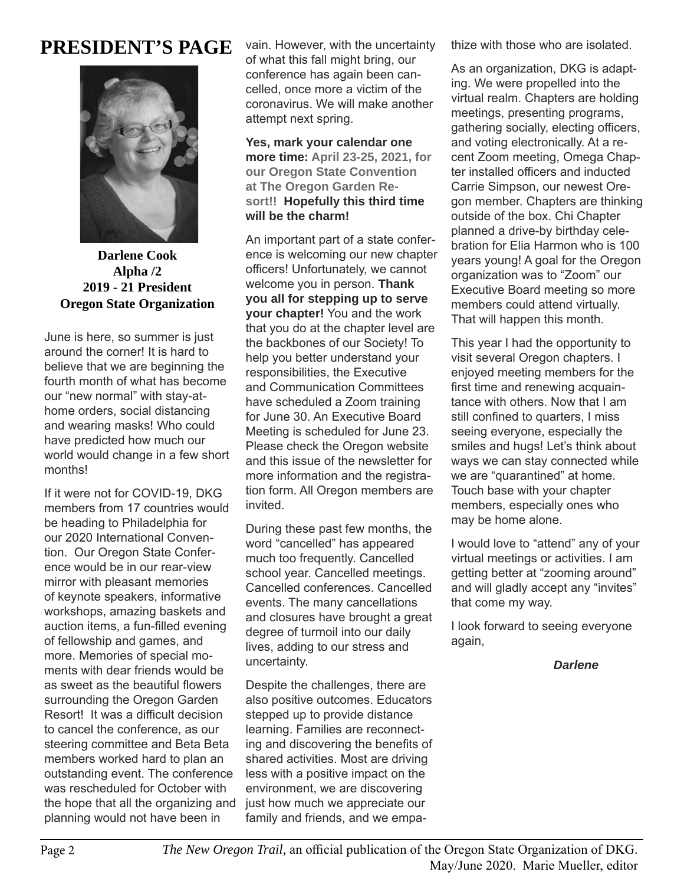## **PRESIDENT'S PAGE**



**Darlene Cook Alpha /2 2019 - 21 President Oregon State Organization**

June is here, so summer is just around the corner! It is hard to believe that we are beginning the fourth month of what has become our "new normal" with stay-athome orders, social distancing and wearing masks! Who could have predicted how much our world would change in a few short months!

If it were not for COVID-19, DKG members from 17 countries would be heading to Philadelphia for our 2020 International Convention. Our Oregon State Conference would be in our rear-view mirror with pleasant memories of keynote speakers, informative workshops, amazing baskets and auction items, a fun-filled evening of fellowship and games, and more. Memories of special moments with dear friends would be as sweet as the beautiful flowers surrounding the Oregon Garden Resort! It was a difficult decision to cancel the conference, as our steering committee and Beta Beta members worked hard to plan an outstanding event. The conference was rescheduled for October with the hope that all the organizing and planning would not have been in

vain. However, with the uncertainty of what this fall might bring, our conference has again been cancelled, once more a victim of the coronavirus. We will make another attempt next spring.

**Yes, mark your calendar one more time: April 23-25, 2021, for our Oregon State Convention at The Oregon Garden Resort!! Hopefully this third time will be the charm!**

An important part of a state conference is welcoming our new chapter officers! Unfortunately, we cannot welcome you in person. **Thank you all for stepping up to serve your chapter!** You and the work that you do at the chapter level are the backbones of our Society! To help you better understand your responsibilities, the Executive and Communication Committees have scheduled a Zoom training for June 30. An Executive Board Meeting is scheduled for June 23. Please check the Oregon website and this issue of the newsletter for more information and the registration form. All Oregon members are invited.

During these past few months, the word "cancelled" has appeared much too frequently. Cancelled school year. Cancelled meetings. Cancelled conferences. Cancelled events. The many cancellations and closures have brought a great degree of turmoil into our daily lives, adding to our stress and uncertainty.

Despite the challenges, there are also positive outcomes. Educators stepped up to provide distance learning. Families are reconnecting and discovering the benefits of shared activities. Most are driving less with a positive impact on the environment, we are discovering just how much we appreciate our family and friends, and we empathize with those who are isolated.

As an organization, DKG is adapting. We were propelled into the virtual realm. Chapters are holding meetings, presenting programs, gathering socially, electing officers, and voting electronically. At a recent Zoom meeting, Omega Chapter installed officers and inducted Carrie Simpson, our newest Oregon member. Chapters are thinking outside of the box. Chi Chapter planned a drive-by birthday celebration for Elia Harmon who is 100 years young! A goal for the Oregon organization was to "Zoom" our Executive Board meeting so more members could attend virtually. That will happen this month.

This year I had the opportunity to visit several Oregon chapters. I enjoyed meeting members for the first time and renewing acquaintance with others. Now that I am still confined to quarters, I miss seeing everyone, especially the smiles and hugs! Let's think about ways we can stay connected while we are "quarantined" at home. Touch base with your chapter members, especially ones who may be home alone.

I would love to "attend" any of your virtual meetings or activities. I am getting better at "zooming around" and will gladly accept any "invites" that come my way.

I look forward to seeing everyone again,

## *Darlene*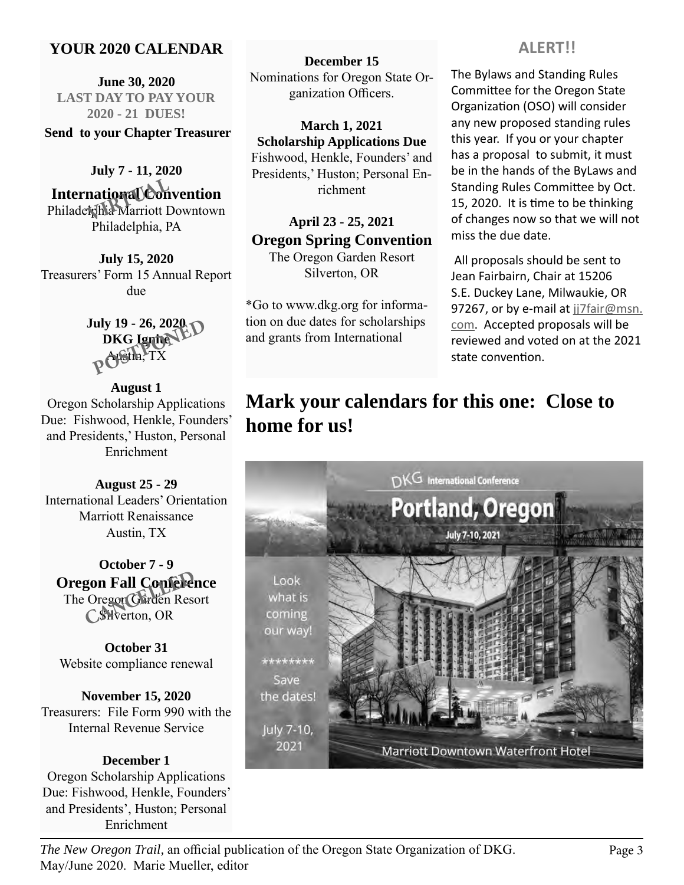## **YOUR 2020 CALENDAR**

**June 30, 2020 LAST DAY TO PAY YOUR 2020 - 21 DUES!** 

 **Send to your Chapter Treasurer**

**July 7 - 11, 2020 International Convention** Philadelphia Marriott Downtown Philadelphia, PA **national Con**<br>**National Con** 

**July 15, 2020** Treasurers' Form 15 Annual Report due

> **July 19 - 26, 2020<br>DKG Ignite PD**<br>POSTE, TX **DKG Ignite** Austin, TX

**August 1** Oregon Scholarship Applications Due: Fishwood, Henkle, Founders' and Presidents,' Huston, Personal Enrichment

**August 25 - 29** International Leaders' Orientation Marriott Renaissance Austin, TX

**October 7 - 9 Oregon Fall Conference** The Oregon Garden Resort Silverton, OR **gon Fall Conferent**<br>Oregon Garden Rese<br>CSHverton, OR

**October 31** Website compliance renewal

**November 15, 2020** Treasurers: File Form 990 with the Internal Revenue Service

## **December 1** Oregon Scholarship Applications Due: Fishwood, Henkle, Founders' and Presidents', Huston; Personal Enrichment

**December 15** Nominations for Oregon State Organization Officers.

**March 1, 2021 Scholarship Applications Due** Fishwood, Henkle, Founders' and Presidents,' Huston; Personal Enrichment

## **April 23 - 25, 2021 Oregon Spring Convention**

The Oregon Garden Resort Silverton, OR

\*Go to www.dkg.org for information on due dates for scholarships and grants from International

## **ALERT!!**

The Bylaws and Standing Rules Committee for the Oregon State Organization (OSO) will consider any new proposed standing rules this year. If you or your chapter has a proposal to submit, it must be in the hands of the ByLaws and Standing Rules Committee by Oct. 15, 2020. It is time to be thinking of changes now so that we will not miss the due date.

 All proposals should be sent to Jean Fairbairn, Chair at 15206 S.E. Duckey Lane, Milwaukie, OR 97267, or by e-mail at jj7fair@msn. com. Accepted proposals will be reviewed and voted on at the 2021 state convention.

## **Mark your calendars for this one: Close to home for us!**

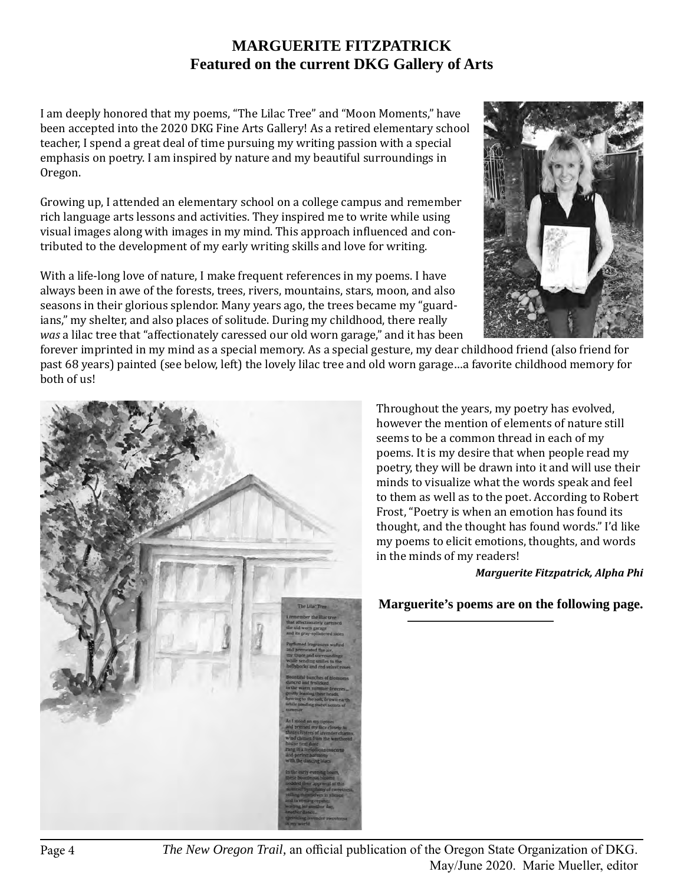## **MARGUERITE FITZPATRICK Featured on the current DKG Gallery of Arts**

I am deeply honored that my poems, "The Lilac Tree" and "Moon Moments," have been accepted into the 2020 DKG Fine Arts Gallery! As a retired elementary school teacher, I spend a great deal of time pursuing my writing passion with a special emphasis on poetry. I am inspired by nature and my beautiful surroundings in Oregon.

Growing up, I attended an elementary school on a college campus and remember rich language arts lessons and activities. They inspired me to write while using visual images along with images in my mind. This approach influenced and contributed to the development of my early writing skills and love for writing.

With a life-long love of nature, I make frequent references in my poems. I have always been in awe of the forests, trees, rivers, mountains, stars, moon, and also seasons in their glorious splendor. Many years ago, the trees became my "guardians," my shelter, and also places of solitude. During my childhood, there really *was* a lilac tree that "affectionately caressed our old worn garage," and it has been



forever imprinted in my mind as a special memory. As a special gesture, my dear childhood friend (also friend for past 68 years) painted (see below, left) the lovely lilac tree and old worn garage…a favorite childhood memory for both of us!



Throughout the years, my poetry has evolved, however the mention of elements of nature still seems to be a common thread in each of my poems. It is my desire that when people read my poetry, they will be drawn into it and will use their minds to visualize what the words speak and feel to them as well as to the poet. According to Robert Frost, "Poetry is when an emotion has found its thought, and the thought has found words." I'd like my poems to elicit emotions, thoughts, and words in the minds of my readers!

#### *Marguerite Fitzpatrick, Alpha Phi*

**Marguerite's poems are on the following page.**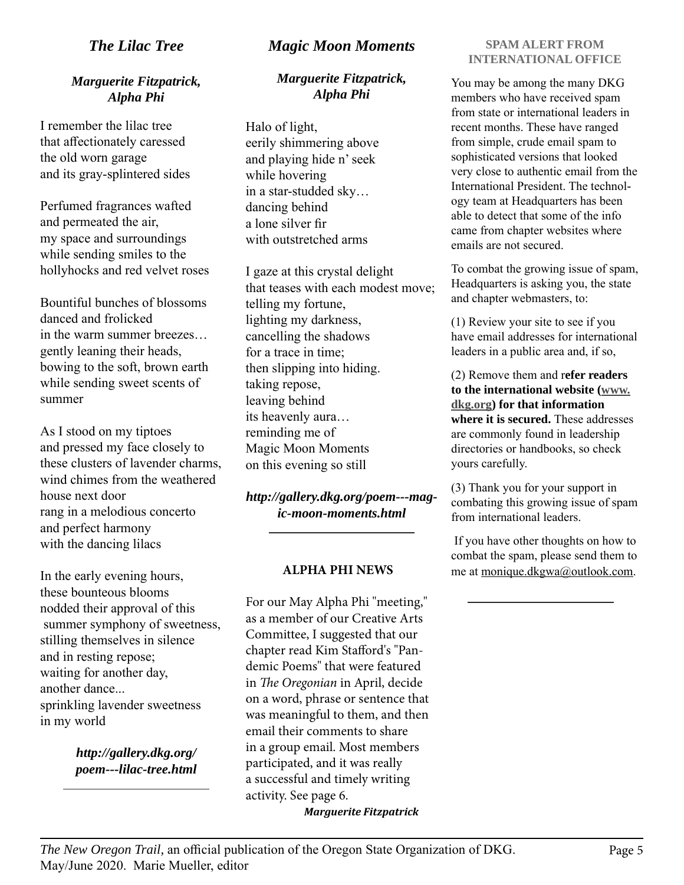## *The Lilac Tree*

## *Marguerite Fitzpatrick, Alpha Phi*

I remember the lilac tree that affectionately caressed the old worn garage and its gray-splintered sides

Perfumed fragrances wafted and permeated the air, my space and surroundings while sending smiles to the hollyhocks and red velvet roses

Bountiful bunches of blossoms danced and frolicked in the warm summer breezes… gently leaning their heads, bowing to the soft, brown earth while sending sweet scents of summer

As I stood on my tiptoes and pressed my face closely to these clusters of lavender charms, wind chimes from the weathered house next door rang in a melodious concerto and perfect harmony with the dancing lilacs

In the early evening hours, these bounteous blooms nodded their approval of this summer symphony of sweetness, stilling themselves in silence and in resting repose; waiting for another day, another dance... sprinkling lavender sweetness in my world

> *http://gallery.dkg.org/ poem---lilac-tree.html*

## *Magic Moon Moments*

## *Marguerite Fitzpatrick, Alpha Phi*

Halo of light, eerily shimmering above and playing hide n' seek while hovering in a star-studded sky… dancing behind a lone silver fir with outstretched arms

I gaze at this crystal delight that teases with each modest move; telling my fortune, lighting my darkness, cancelling the shadows for a trace in time; then slipping into hiding. taking repose, leaving behind its heavenly aura… reminding me of Magic Moon Moments on this evening so still

*http://gallery.dkg.org/poem---magic-moon-moments.html*

#### **ALPHA PHI NEWS**

For our May Alpha Phi "meeting," as a member of our Creative Arts Committee, I suggested that our chapter read Kim Stafford's "Pandemic Poems" that were featured in *The Oregonian* in April, decide on a word, phrase or sentence that was meaningful to them, and then email their comments to share in a group email. Most members participated, and it was really a successful and timely writing activity. See page 6. *Marguerite Fitzpatrick*

#### **SPAM ALERT FROM INTERNATIONAL OFFICE**

You may be among the many DKG members who have received spam from state or international leaders in recent months. These have ranged from simple, crude email spam to sophisticated versions that looked very close to authentic email from the International President. The technology team at Headquarters has been able to detect that some of the info came from chapter websites where emails are not secured.

To combat the growing issue of spam, Headquarters is asking you, the state and chapter webmasters, to:

(1) Review your site to see if you have email addresses for international leaders in a public area and, if so,

(2) Remove them and r**efer readers to the international website (www. dkg.org) for that information where it is secured.** These addresses are commonly found in leadership directories or handbooks, so check yours carefully.

(3) Thank you for your support in combating this growing issue of spam from international leaders.

 If you have other thoughts on how to combat the spam, please send them to me at monique.dkgwa@outlook.com.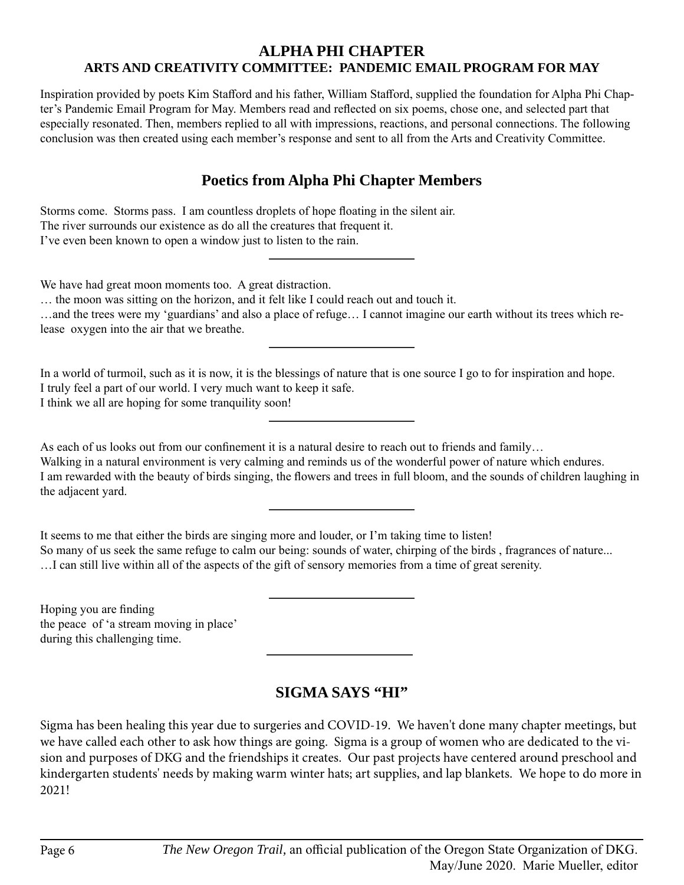## **ALPHA PHI CHAPTER ARTS AND CREATIVITY COMMITTEE: PANDEMIC EMAIL PROGRAM FOR MAY**

Inspiration provided by poets Kim Stafford and his father, William Stafford, supplied the foundation for Alpha Phi Chapter's Pandemic Email Program for May. Members read and reflected on six poems, chose one, and selected part that especially resonated. Then, members replied to all with impressions, reactions, and personal connections. The following conclusion was then created using each member's response and sent to all from the Arts and Creativity Committee.

## **Poetics from Alpha Phi Chapter Members**

| Storms come. Storms pass. I am countless droplets of hope floating in the silent air.<br>The river surrounds our existence as do all the creatures that frequent it.<br>I've even been known to open a window just to listen to the rain.                                                                                                                                      |
|--------------------------------------------------------------------------------------------------------------------------------------------------------------------------------------------------------------------------------------------------------------------------------------------------------------------------------------------------------------------------------|
| We have had great moon moments too. A great distraction.<br>the moon was sitting on the horizon, and it felt like I could reach out and touch it.<br>and the trees were my 'guardians' and also a place of refuge I cannot imagine our earth without its trees which re-<br>lease oxygen into the air that we breathe.                                                         |
| In a world of turmoil, such as it is now, it is the blessings of nature that is one source I go to for inspiration and hope.<br>I truly feel a part of our world. I very much want to keep it safe.<br>I think we all are hoping for some tranquility soon!                                                                                                                    |
| As each of us looks out from our confinement it is a natural desire to reach out to friends and family<br>Walking in a natural environment is very calming and reminds us of the wonderful power of nature which endures.<br>I am rewarded with the beauty of birds singing, the flowers and trees in full bloom, and the sounds of children laughing in<br>the adjacent yard. |
| It seems to me that either the birds are singing more and louder, or I'm taking time to listen!<br>So many of us seek the same refuge to calm our being: sounds of water, chirping of the birds, fragrances of nature<br>I can still live within all of the aspects of the gift of sensory memories from a time of great serenity.                                             |
| Hoping you are finding<br>the peace of 'a stream moving in place'                                                                                                                                                                                                                                                                                                              |

**SIGMA SAYS "HI"**

Sigma has been healing this year due to surgeries and COVID-19. We haven't done many chapter meetings, but we have called each other to ask how things are going. Sigma is a group of women who are dedicated to the vision and purposes of DKG and the friendships it creates. Our past projects have centered around preschool and kindergarten students' needs by making warm winter hats; art supplies, and lap blankets. We hope to do more in 2021!

during this challenging time.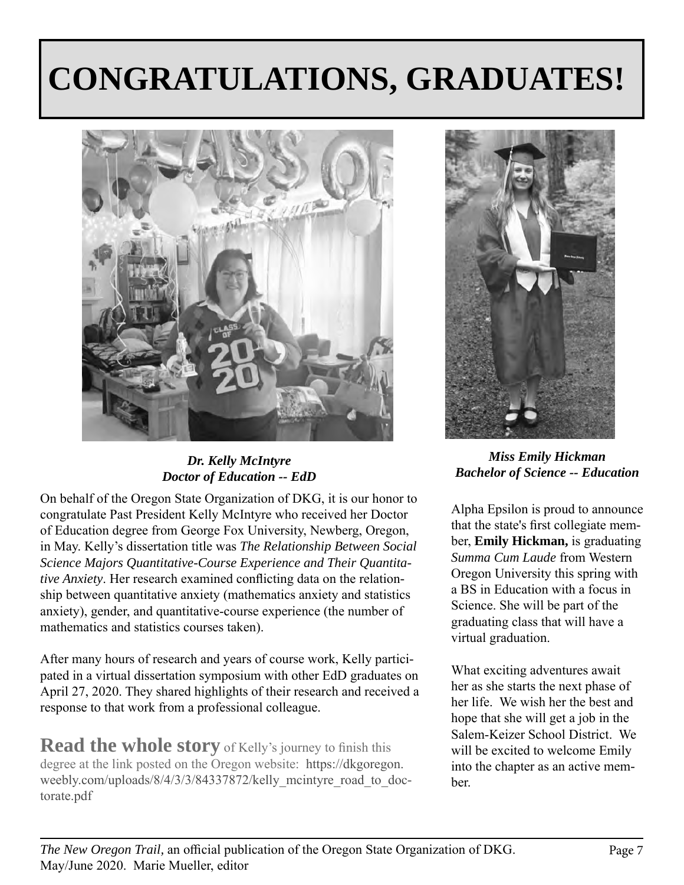# **CONGRATULATIONS, GRADUATES!**



*Dr. Kelly McIntyre Doctor of Education -- EdD*

On behalf of the Oregon State Organization of DKG, it is our honor to congratulate Past President Kelly McIntyre who received her Doctor of Education degree from George Fox University, Newberg, Oregon, in May. Kelly's dissertation title was *The Relationship Between Social Science Majors Quantitative-Course Experience and Their Quantitative Anxiety*. Her research examined conflicting data on the relationship between quantitative anxiety (mathematics anxiety and statistics anxiety), gender, and quantitative-course experience (the number of mathematics and statistics courses taken).

After many hours of research and years of course work, Kelly participated in a virtual dissertation symposium with other EdD graduates on April 27, 2020. They shared highlights of their research and received a response to that work from a professional colleague.

**Read the whole story** of Kelly's journey to finish this degree at the link posted on the Oregon website: https://dkgoregon. weebly.com/uploads/8/4/3/3/84337872/kelly\_mcintyre\_road\_to\_doctorate.pdf



*Miss Emily Hickman Bachelor of Science -- Education*

Alpha Epsilon is proud to announce that the state's first collegiate member, **Emily Hickman,** is graduating *Summa Cum Laude* from Western Oregon University this spring with a BS in Education with a focus in Science. She will be part of the graduating class that will have a virtual graduation.

What exciting adventures await her as she starts the next phase of her life. We wish her the best and hope that she will get a job in the Salem-Keizer School District. We will be excited to welcome Emily into the chapter as an active member.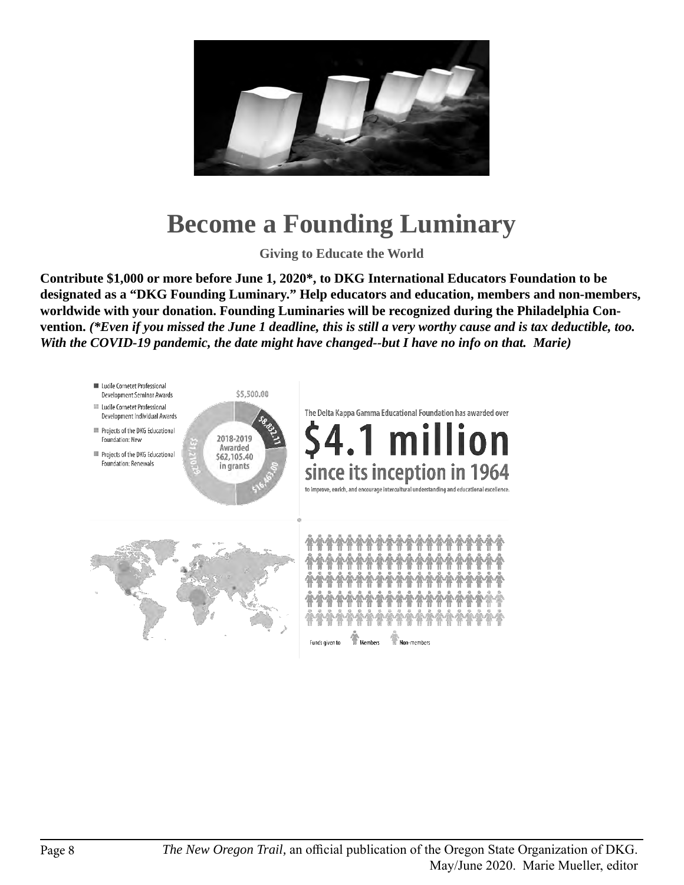

## **Become a Founding Luminary**

**Giving to Educate the World**

**Contribute \$1,000 or more before June 1, 2020\*, to DKG International Educators Foundation to be designated as a "DKG Founding Luminary." Help educators and education, members and non-members, worldwide with your donation. Founding Luminaries will be recognized during the Philadelphia Convention.** *(\*Even if you missed the June 1 deadline, this is still a very worthy cause and is tax deductible, too. With the COVID-19 pandemic, the date might have changed--but I have no info on that. Marie)*

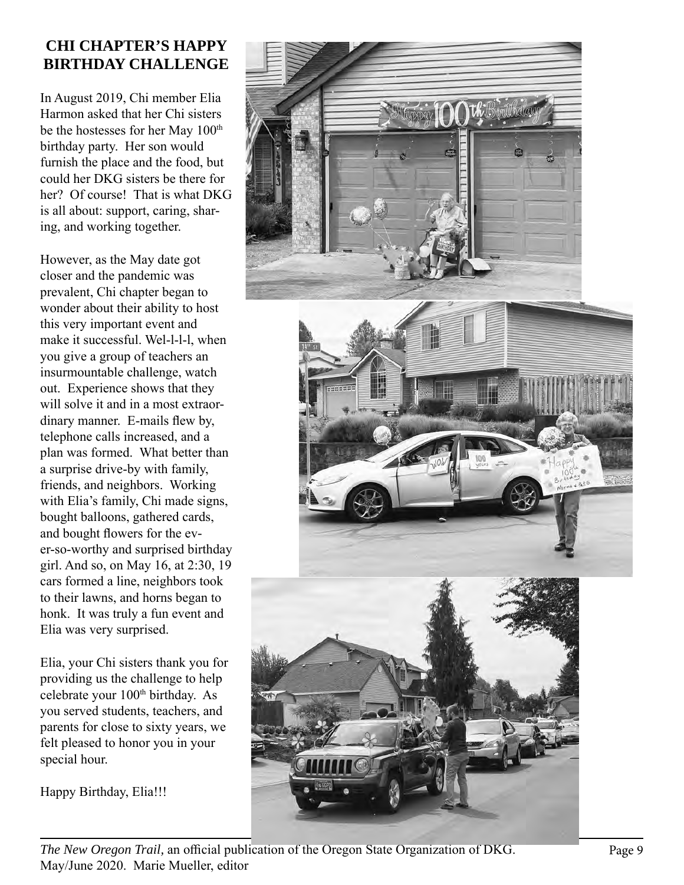## **CHI CHAPTER'S HAPPY BIRTHDAY CHALLENGE**

In August 2019, Chi member Elia Harmon asked that her Chi sisters be the hostesses for her May 100<sup>th</sup> birthday party. Her son would furnish the place and the food, but could her DKG sisters be there for her? Of course! That is what DKG is all about: support, caring, shar ing, and working together.

However, as the May date got closer and the pandemic was prevalent, Chi chapter began to wonder about their ability to host this very important event and make it successful. Wel-l-l-l, when you give a group of teachers an insurmountable challenge, watch out. Experience shows that they will solve it and in a most extraor dinary manner . E-mails flew by, telephone calls increased, and a plan was formed. What better than a surprise drive-by with family, friends, and neighbors. Working with Elia's family, Chi made signs, bought balloons, gathered cards, and bought flowers for the ev er-so-worthy and surprised birthday girl. And so, on May 16, at 2:30, 19 cars formed a line, neighbors took to their lawns, and horns began to honk. It was truly a fun event and Elia was very surprised.

Elia, your Chi sisters thank you for providing us the challenge to help celebrate your 100<sup>th</sup> birthday. As you served students, teachers, and parents for close to sixty years, we felt pleased to honor you in your special hour.

Happy Birthday, Elia!!!



*The New Oregon Trail,* an official publication of the Oregon State Organization of DKG. Page 9 May/June 2020. Marie Mueller, editor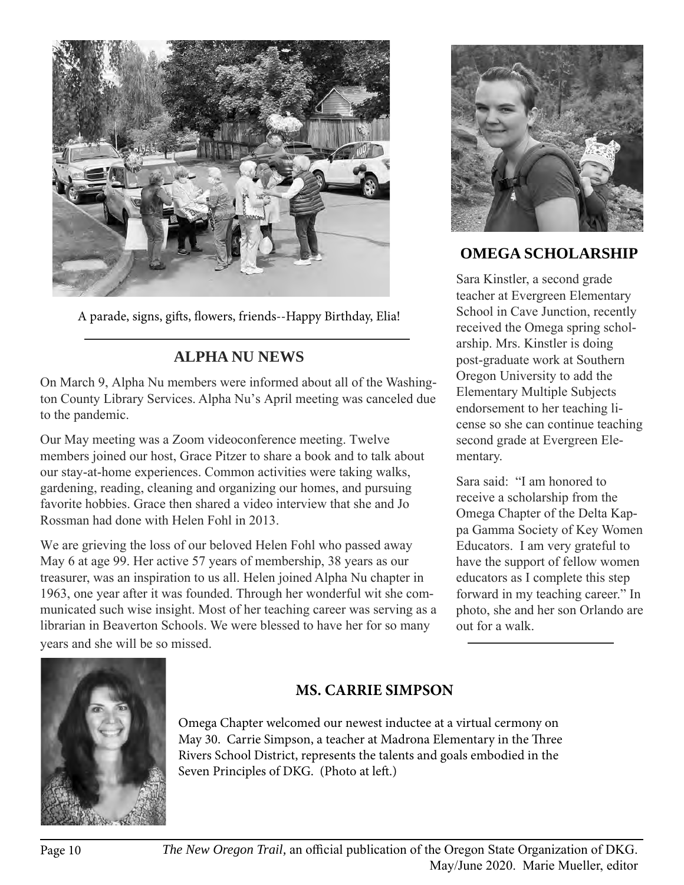

A parade, signs, gifts, flowers, friends--Happy Birthday, Elia!

## **ALPHA NU NEWS**

On March 9, Alpha Nu members were informed about all of the Washington County Library Services. Alpha Nu's April meeting was canceled due to the pandemic.

Our May meeting was a Zoom videoconference meeting. Twelve members joined our host, Grace Pitzer to share a book and to talk about our stay-at-home experiences. Common activities were taking walks, gardening, reading, cleaning and organizing our homes, and pursuing favorite hobbies. Grace then shared a video interview that she and Jo Rossman had done with Helen Fohl in 2013.

We are grieving the loss of our beloved Helen Fohl who passed away May 6 at age 99. Her active 57 years of membership, 38 years as our treasurer, was an inspiration to us all. Helen joined Alpha Nu chapter in 1963, one year after it was founded. Through her wonderful wit she communicated such wise insight. Most of her teaching career was serving as a librarian in Beaverton Schools. We were blessed to have her for so many years and she will be so missed.



## **OMEGA SCHOLARSHIP**

Sara Kinstler, a second grade teacher at Evergreen Elementary School in Cave Junction, recently received the Omega spring scholarship. Mrs. Kinstler is doing post-graduate work at Southern Oregon University to add the Elementary Multiple Subjects endorsement to her teaching license so she can continue teaching second grade at Evergreen Elementary.

Sara said: "I am honored to receive a scholarship from the Omega Chapter of the Delta Kappa Gamma Society of Key Women Educators. I am very grateful to have the support of fellow women educators as I complete this step forward in my teaching career." In photo, she and her son Orlando are out for a walk.



## **MS. CARRIE SIMPSON**

Omega Chapter welcomed our newest inductee at a virtual cermony on May 30. Carrie Simpson, a teacher at Madrona Elementary in the Three Rivers School District, represents the talents and goals embodied in the Seven Principles of DKG. (Photo at left.)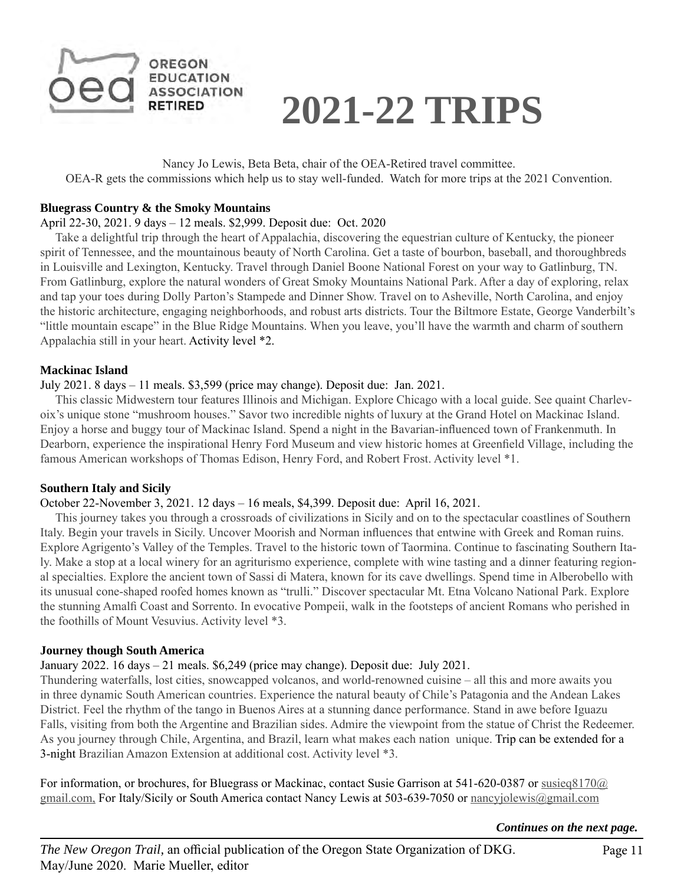



Nancy Jo Lewis, Beta Beta, chair of the OEA-Retired travel committee. OEA-R gets the commissions which help us to stay well-funded. Watch for more trips at the 2021 Convention.

#### **Bluegrass Country & the Smoky Mountains**

#### April 22-30, 2021. 9 days – 12 meals. \$2,999. Deposit due: Oct. 2020

 Take a delightful trip through the heart of Appalachia, discovering the equestrian culture of Kentucky, the pioneer spirit of Tennessee, and the mountainous beauty of North Carolina. Get a taste of bourbon, baseball, and thoroughbreds in Louisville and Lexington, Kentucky. Travel through Daniel Boone National Forest on your way to Gatlinburg, TN. From Gatlinburg, explore the natural wonders of Great Smoky Mountains National Park. After a day of exploring, relax and tap your toes during Dolly Parton's Stampede and Dinner Show. Travel on to Asheville, North Carolina, and enjoy the historic architecture, engaging neighborhoods, and robust arts districts. Tour the Biltmore Estate, George Vanderbilt's "little mountain escape" in the Blue Ridge Mountains. When you leave, you'll have the warmth and charm of southern Appalachia still in your heart. Activity level \*2.

#### **Mackinac Island**

#### July 2021. 8 days – 11 meals. \$3,599 (price may change). Deposit due: Jan. 2021.

 This classic Midwestern tour features Illinois and Michigan. Explore Chicago with a local guide. See quaint Charlevoix's unique stone "mushroom houses." Savor two incredible nights of luxury at the Grand Hotel on Mackinac Island. Enjoy a horse and buggy tour of Mackinac Island. Spend a night in the Bavarian-influenced town of Frankenmuth. In Dearborn, experience the inspirational Henry Ford Museum and view historic homes at Greenfield Village, including the famous American workshops of Thomas Edison, Henry Ford, and Robert Frost. Activity level \*1.

#### **Southern Italy and Sicily**

#### October 22-November 3, 2021. 12 days – 16 meals, \$4,399. Deposit due: April 16, 2021.

 This journey takes you through a crossroads of civilizations in Sicily and on to the spectacular coastlines of Southern Italy. Begin your travels in Sicily. Uncover Moorish and Norman influences that entwine with Greek and Roman ruins. Explore Agrigento's Valley of the Temples. Travel to the historic town of Taormina. Continue to fascinating Southern Italy. Make a stop at a local winery for an agriturismo experience, complete with wine tasting and a dinner featuring regional specialties. Explore the ancient town of Sassi di Matera, known for its cave dwellings. Spend time in Alberobello with its unusual cone-shaped roofed homes known as "trulli." Discover spectacular Mt. Etna Volcano National Park. Explore the stunning Amalfi Coast and Sorrento. In evocative Pompeii, walk in the footsteps of ancient Romans who perished in the foothills of Mount Vesuvius. Activity level \*3.

#### **Journey though South America**

#### January 2022. 16 days – 21 meals. \$6,249 (price may change). Deposit due: July 2021.

Thundering waterfalls, lost cities, snowcapped volcanos, and world-renowned cuisine – all this and more awaits you in three dynamic South American countries. Experience the natural beauty of Chile's Patagonia and the Andean Lakes District. Feel the rhythm of the tango in Buenos Aires at a stunning dance performance. Stand in awe before Iguazu Falls, visiting from both the Argentine and Brazilian sides. Admire the viewpoint from the statue of Christ the Redeemer. As you journey through Chile, Argentina, and Brazil, learn what makes each nation unique. Trip can be extended for a 3-night Brazilian Amazon Extension at additional cost. Activity level \*3.

For information, or brochures, for Bluegrass or Mackinac, contact Susie Garrison at 541-620-0387 or susieq8170@ gmail.com, For Italy/Sicily or South America contact Nancy Lewis at 503-639-7050 or nancyjolewis@gmail.com

*Continues on the next page.*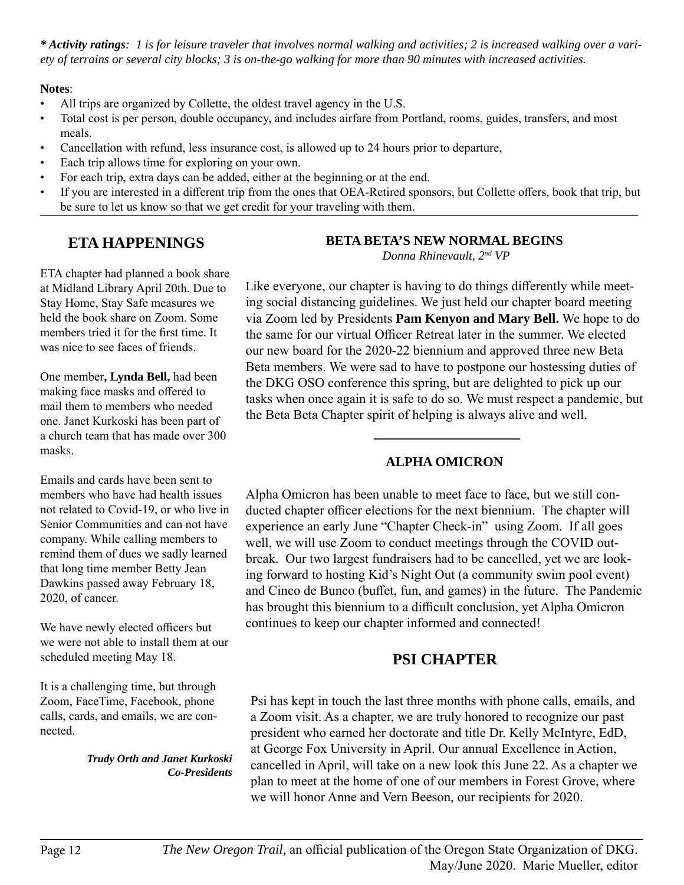*\* Activity ratings: 1 is for leisure traveler that involves normal walking and activities; 2 is increased walking over a variety of terrains or several city blocks; 3 is on-the-go walking for more than 90 minutes with increased activities.*

## **Notes**:

- All trips are organized by Collette, the oldest travel agency in the U.S.
- Total cost is per person, double occupancy, and includes airfare from Portland, rooms, guides, transfers, and most meals.
- Cancellation with refund, less insurance cost, is allowed up to 24 hours prior to departure,
- Each trip allows time for exploring on your own.
- For each trip, extra days can be added, either at the beginning or at the end.
- If you are interested in a different trip from the ones that OEA-Retired sponsors, but Collette offers, book that trip, but be sure to let us know so that we get credit for your traveling with them.

## **ETA HAPPENINGS**

ETA chapter had planned a book share at Midland Library April 20th. Due to Stay Home, Stay Safe measures we held the book share on Zoom. Some members tried it for the first time. It was nice to see faces of friends.

One member**, Lynda Bell,** had been making face masks and offered to mail them to members who needed one. Janet Kurkoski has been part of a church team that has made over 300 masks.

Emails and cards have been sent to members who have had health issues not related to Covid-19, or who live in Senior Communities and can not have company. While calling members to remind them of dues we sadly learned that long time member Betty Jean Dawkins passed away February 18, 2020, of cancer.

We have newly elected officers but we were not able to install them at our scheduled meeting May 18.

It is a challenging time, but through Zoom, FaceTime, Facebook, phone calls, cards, and emails, we are connected.

#### *Trudy Orth and Janet Kurkoski Co-Presidents*

## **BETA BETA'S NEW NORMAL BEGINS**

 *Donna Rhinevault, 2nd VP*

Like everyone, our chapter is having to do things differently while meeting social distancing guidelines. We just held our chapter board meeting via Zoom led by Presidents **Pam Kenyon and Mary Bell.** We hope to do the same for our virtual Officer Retreat later in the summer. We elected our new board for the 2020-22 biennium and approved three new Beta Beta members. We were sad to have to postpone our hostessing duties of the DKG OSO conference this spring, but are delighted to pick up our tasks when once again it is safe to do so. We must respect a pandemic, but the Beta Beta Chapter spirit of helping is always alive and well.

## **ALPHA OMICRON**

Alpha Omicron has been unable to meet face to face, but we still conducted chapter officer elections for the next biennium. The chapter will experience an early June "Chapter Check-in" using Zoom. If all goes well, we will use Zoom to conduct meetings through the COVID outbreak. Our two largest fundraisers had to be cancelled, yet we are looking forward to hosting Kid's Night Out (a community swim pool event) and Cinco de Bunco (buffet, fun, and games) in the future. The Pandemic has brought this biennium to a difficult conclusion, yet Alpha Omicron continues to keep our chapter informed and connected!

## **PSI CHAPTER**

Psi has kept in touch the last three months with phone calls, emails, and a Zoom visit. As a chapter, we are truly honored to recognize our past president who earned her doctorate and title Dr. Kelly McIntyre, EdD, at George Fox University in April. Our annual Excellence in Action, cancelled in April, will take on a new look this June 22. As a chapter we plan to meet at the home of one of our members in Forest Grove, where we will honor Anne and Vern Beeson, our recipients for 2020.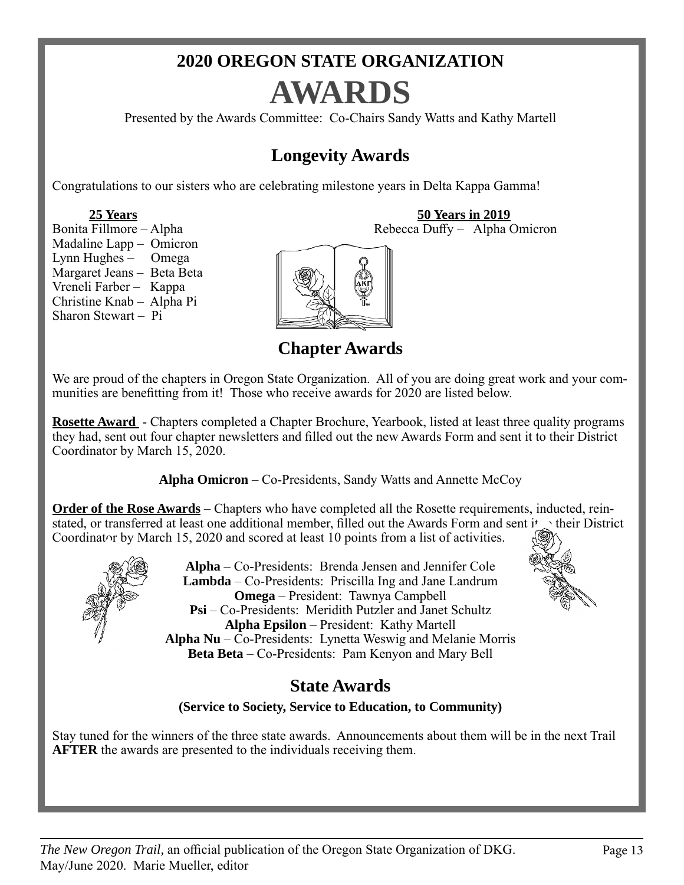## **2020 OREGON STATE ORGANIZATION AWARDS**

Presented by the Awards Committee: Co-Chairs Sandy Watts and Kathy Martell

## **Longevity Awards**

Congratulations to our sisters who are celebrating milestone years in Delta Kappa Gamma!

**25 Years**<br>Bonita Fillmore – Alpha<br>Rebecca Duffy – Alpha (Rebecca Duffy – Alpha (Rebecca Duffy – Alpha (Rebecca Duffy – Alpha (Rebecca Duffy – Alpha (Rebecca Duffy – Alpha (Rebecca Duffy – Alpha (Rebecca Duffy – Alpha (Reb Madaline Lapp – Omicron Lynn Hughes – Omega Margaret Jeans – Beta Beta Vreneli Farber – Kappa Christine Knab – Alpha Pi Sharon Stewart – Pi



**Chapter Awards** 

We are proud of the chapters in Oregon State Organization. All of you are doing great work and your communities are benefitting from it! Those who receive awards for 2020 are listed below.

**Rosette Award** - Chapters completed a Chapter Brochure, Yearbook, listed at least three quality programs they had, sent out four chapter newsletters and filled out the new Awards Form and sent it to their District Coordinator by March 15, 2020.

**Alpha Omicron** – Co-Presidents, Sandy Watts and Annette McCoy

**Order of the Rose Awards** – Chapters who have completed all the Rosette requirements, inducted, reinstated, or transferred at least one additional member, filled out the Awards Form and sent  $\mathbf{i}^*$  their District Coordinator by March 15, 2020 and scored at least 10 points from a list of activities.



**Alpha** – Co-Presidents: Brenda Jensen and Jennifer Cole **Lambda** – Co-Presidents: Priscilla Ing and Jane Landrum **Omega** – President: Tawnya Campbell **Psi** – Co-Presidents: Meridith Putzler and Janet Schultz **Alpha Epsilon** – President: Kathy Martell **Alpha Nu** – Co-Presidents: Lynetta Weswig and Melanie Morris **Beta Beta** – Co-Presidents: Pam Kenyon and Mary Bell



## **State Awards**

**(Service to Society, Service to Education, to Community)**

Stay tuned for the winners of the three state awards. Announcements about them will be in the next Trail **AFTER** the awards are presented to the individuals receiving them.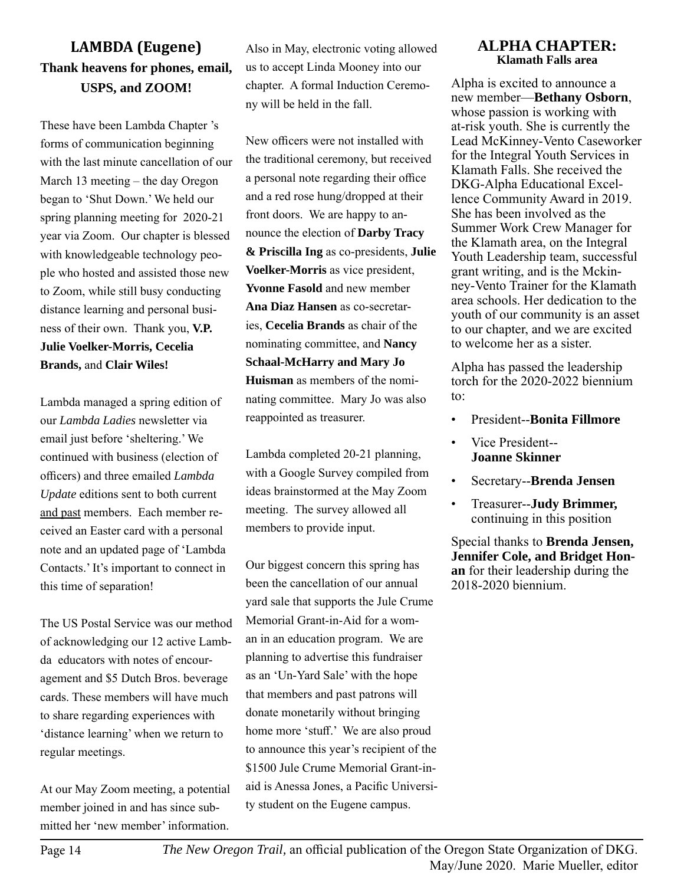## **LAMBDA (Eugene) Thank heavens for phones, email, USPS, and ZOOM!**

These have been Lambda Chapter 's forms of communication beginning with the last minute cancellation of our March 13 meeting – the day Oregon began to 'Shut Down.' We held our spring planning meeting for 2020-21 year via Zoom. Our chapter is blessed with knowledgeable technology people who hosted and assisted those new to Zoom, while still busy conducting distance learning and personal business of their own. Thank you, **V.P. Julie Voelker-Morris, Cecelia Brands,** and **Clair Wiles!** 

Lambda managed a spring edition of our *Lambda Ladies* newsletter via email just before 'sheltering.' We continued with business (election of officers) and three emailed *Lambda Update* editions sent to both current and past members. Each member received an Easter card with a personal note and an updated page of 'Lambda Contacts.' It's important to connect in this time of separation!

The US Postal Service was our method of acknowledging our 12 active Lambda educators with notes of encouragement and \$5 Dutch Bros. beverage cards. These members will have much to share regarding experiences with 'distance learning' when we return to regular meetings.

At our May Zoom meeting, a potential member joined in and has since submitted her 'new member' information.

Also in May, electronic voting allowed us to accept Linda Mooney into our chapter. A formal Induction Ceremony will be held in the fall.

New officers were not installed with the traditional ceremony, but received a personal note regarding their office and a red rose hung/dropped at their front doors. We are happy to announce the election of **Darby Tracy & Priscilla Ing** as co-presidents, **Julie Voelker-Morris** as vice president, **Yvonne Fasold** and new member **Ana Diaz Hansen** as co-secretaries, **Cecelia Brands** as chair of the nominating committee, and **Nancy Schaal-McHarry and Mary Jo Huisman** as members of the nominating committee. Mary Jo was also reappointed as treasurer.

Lambda completed 20-21 planning, with a Google Survey compiled from ideas brainstormed at the May Zoom meeting. The survey allowed all members to provide input.

Our biggest concern this spring has been the cancellation of our annual yard sale that supports the Jule Crume Memorial Grant-in-Aid for a woman in an education program. We are planning to advertise this fundraiser as an 'Un-Yard Sale' with the hope that members and past patrons will donate monetarily without bringing home more 'stuff.' We are also proud to announce this year's recipient of the \$1500 Jule Crume Memorial Grant-inaid is Anessa Jones, a Pacific University student on the Eugene campus.

#### **ALPHA CHAPTER: Klamath Falls area**

Alpha is excited to announce a new member—**Bethany Osborn**, whose passion is working with at-risk youth. She is currently the Lead McKinney-Vento Caseworker for the Integral Youth Services in Klamath Falls. She received the DKG-Alpha Educational Excellence Community Award in 2019. She has been involved as the Summer Work Crew Manager for the Klamath area, on the Integral Youth Leadership team, successful grant writing, and is the Mckinney-Vento Trainer for the Klamath area schools. Her dedication to the youth of our community is an asset to our chapter, and we are excited to welcome her as a sister.

Alpha has passed the leadership torch for the 2020-2022 biennium to:

- President--**Bonita Fillmore**
- Vice President-- **Joanne Skinner**
- Secretary--**Brenda Jensen**
- Treasurer--**Judy Brimmer,** continuing in this position

Special thanks to **Brenda Jensen, Jennifer Cole, and Bridget Honan** for their leadership during the 2018-2020 biennium.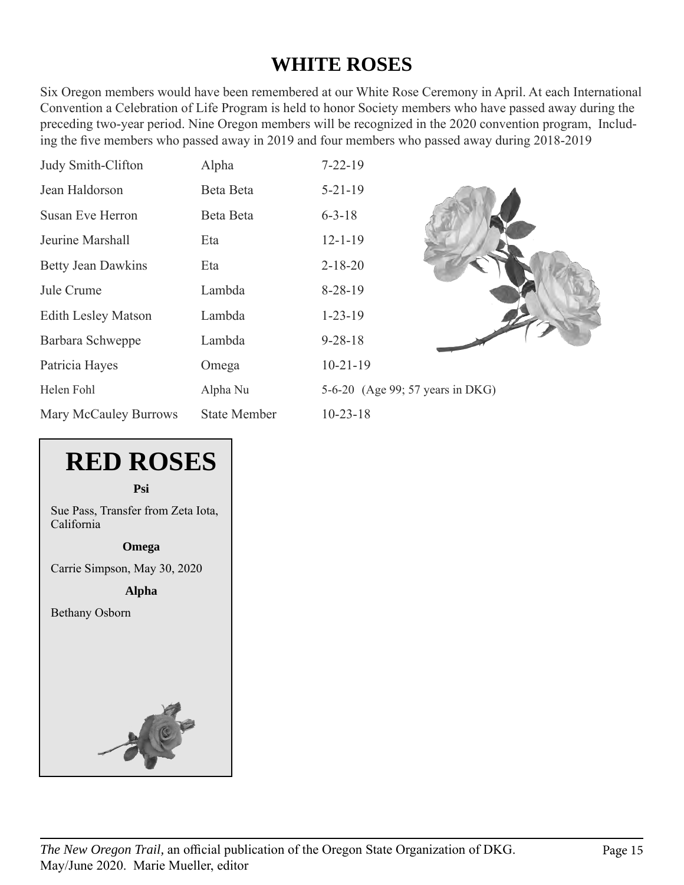## **WHITE ROSES**

Six Oregon members would have been remembered at our White Rose Ceremony in April. At each International Convention a Celebration of Life Program is held to honor Society members who have passed away during the preceding two-year period. Nine Oregon members will be recognized in the 2020 convention program, Including the five members who passed away in 2019 and four members who passed away during 2018-2019

| Judy Smith-Clifton         | Alpha               | $7 - 22 - 19$                    |
|----------------------------|---------------------|----------------------------------|
| Jean Haldorson             | Beta Beta           | $5 - 21 - 19$                    |
| <b>Susan Eve Herron</b>    | Beta Beta           | $6 - 3 - 18$                     |
| Jeurine Marshall           | Eta                 | $12 - 1 - 19$                    |
| <b>Betty Jean Dawkins</b>  | Eta                 | $2 - 18 - 20$                    |
| Jule Crume                 | Lambda              | $8 - 28 - 19$                    |
| <b>Edith Lesley Matson</b> | Lambda              | $1 - 23 - 19$                    |
| Barbara Schweppe           | Lambda              | $9 - 28 - 18$                    |
| Patricia Hayes             | Omega               | $10-21-19$                       |
| Helen Fohl                 | Alpha Nu            | 5-6-20 (Age 99; 57 years in DKG) |
| Mary McCauley Burrows      | <b>State Member</b> | $10 - 23 - 18$                   |



**Psi**

Sue Pass, Transfer from Zeta Iota, California

**Omega**

Carrie Simpson, May 30, 2020

**Alpha**

Bethany Osborn

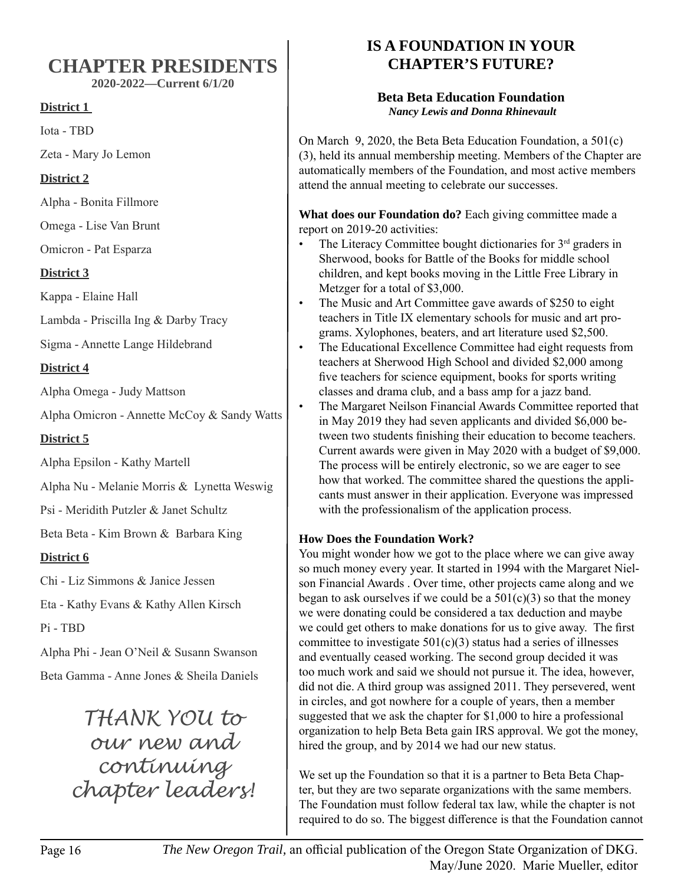## **CHAPTER PRESIDENTS**

**2020-2022—Current 6/1/20**

## **District 1**

Iota - TBD

Zeta - Mary Jo Lemon

## **District 2**

Alpha - Bonita Fillmore

Omega - Lise Van Brunt

Omicron - Pat Esparza

## **District 3**

Kappa - Elaine Hall

Lambda - Priscilla Ing & Darby Tracy

Sigma - Annette Lange Hildebrand

## **District 4**

Alpha Omega - Judy Mattson

Alpha Omicron - Annette McCoy & Sandy Watts

**District 5**

Alpha Epsilon - Kathy Martell

Alpha Nu - Melanie Morris & Lynetta Weswig

Psi - Meridith Putzler & Janet Schultz

Beta Beta - Kim Brown & Barbara King

## **District 6**

Chi - Liz Simmons & Janice Jessen

Eta - Kathy Evans & Kathy Allen Kirsch

Pi - TBD

Alpha Phi - Jean O'Neil & Susann Swanson Beta Gamma - Anne Jones & Sheila Daniels

> *THANK YOU to our new and continuing chapter leaders!*

## **IS A FOUNDATION IN YOUR CHAPTER'S FUTURE?**

## **Beta Beta Education Foundation**  *Nancy Lewis and Donna Rhinevault*

On March 9, 2020, the Beta Beta Education Foundation, a 501(c) (3), held its annual membership meeting. Members of the Chapter are automatically members of the Foundation, and most active members attend the annual meeting to celebrate our successes.

**What does our Foundation do?** Each giving committee made a report on 2019-20 activities:

- The Literacy Committee bought dictionaries for 3<sup>rd</sup> graders in Sherwood, books for Battle of the Books for middle school children, and kept books moving in the Little Free Library in Metzger for a total of \$3,000.
- The Music and Art Committee gave awards of \$250 to eight teachers in Title IX elementary schools for music and art programs. Xylophones, beaters, and art literature used \$2,500.
- The Educational Excellence Committee had eight requests from teachers at Sherwood High School and divided \$2,000 among five teachers for science equipment, books for sports writing classes and drama club, and a bass amp for a jazz band.
- The Margaret Neilson Financial Awards Committee reported that in May 2019 they had seven applicants and divided \$6,000 between two students finishing their education to become teachers. Current awards were given in May 2020 with a budget of \$9,000. The process will be entirely electronic, so we are eager to see how that worked. The committee shared the questions the applicants must answer in their application. Everyone was impressed with the professionalism of the application process.

## **How Does the Foundation Work?**

You might wonder how we got to the place where we can give away so much money every year. It started in 1994 with the Margaret Nielson Financial Awards . Over time, other projects came along and we began to ask ourselves if we could be a  $501(c)(3)$  so that the money we were donating could be considered a tax deduction and maybe we could get others to make donations for us to give away. The first committee to investigate  $501(c)(3)$  status had a series of illnesses and eventually ceased working. The second group decided it was too much work and said we should not pursue it. The idea, however, did not die. A third group was assigned 2011. They persevered, went in circles, and got nowhere for a couple of years, then a member suggested that we ask the chapter for \$1,000 to hire a professional organization to help Beta Beta gain IRS approval. We got the money, hired the group, and by 2014 we had our new status.

We set up the Foundation so that it is a partner to Beta Beta Chapter, but they are two separate organizations with the same members. The Foundation must follow federal tax law, while the chapter is not required to do so. The biggest difference is that the Foundation cannot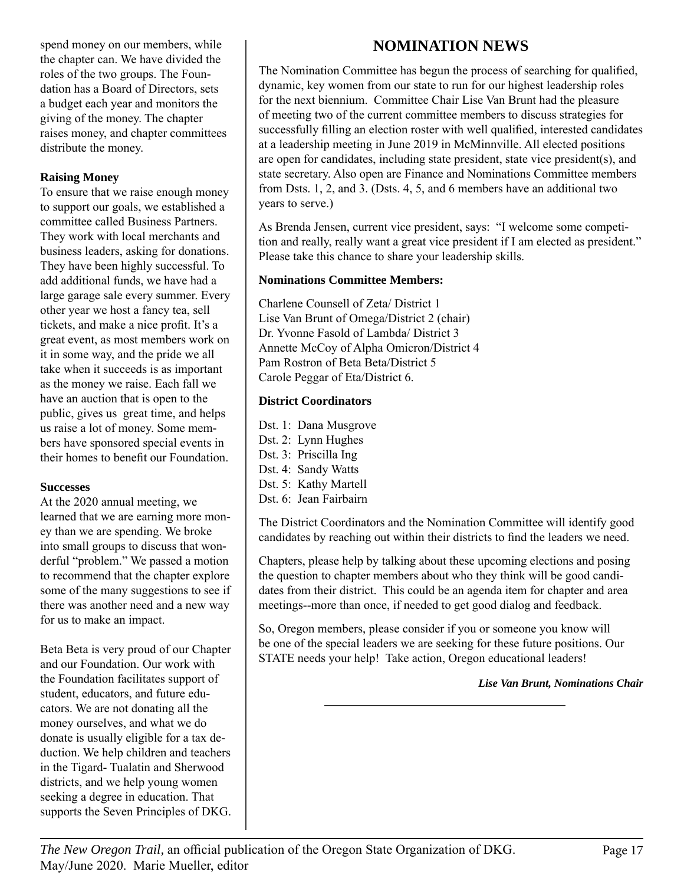spend money on our members, while the chapter can. We have divided the roles of the two groups. The Foundation has a Board of Directors, sets a budget each year and monitors the giving of the money. The chapter raises money, and chapter committees distribute the money.

## **Raising Money**

To ensure that we raise enough money to support our goals, we established a committee called Business Partners. They work with local merchants and business leaders, asking for donations. They have been highly successful. To add additional funds, we have had a large garage sale every summer. Every other year we host a fancy tea, sell tickets, and make a nice profit. It's a great event, as most members work on it in some way, and the pride we all take when it succeeds is as important as the money we raise. Each fall we have an auction that is open to the public, gives us great time, and helps us raise a lot of money. Some members have sponsored special events in their homes to benefit our Foundation.

#### **Successes**

At the 2020 annual meeting, we learned that we are earning more money than we are spending. We broke into small groups to discuss that wonderful "problem." We passed a motion to recommend that the chapter explore some of the many suggestions to see if there was another need and a new way for us to make an impact.

Beta Beta is very proud of our Chapter and our Foundation. Our work with the Foundation facilitates support of student, educators, and future educators. We are not donating all the money ourselves, and what we do donate is usually eligible for a tax deduction. We help children and teachers in the Tigard- Tualatin and Sherwood districts, and we help young women seeking a degree in education. That supports the Seven Principles of DKG.

## **NOMINATION NEWS**

The Nomination Committee has begun the process of searching for qualified, dynamic, key women from our state to run for our highest leadership roles for the next biennium. Committee Chair Lise Van Brunt had the pleasure of meeting two of the current committee members to discuss strategies for successfully filling an election roster with well qualified, interested candidates at a leadership meeting in June 2019 in McMinnville. All elected positions are open for candidates, including state president, state vice president(s), and state secretary. Also open are Finance and Nominations Committee members from Dsts. 1, 2, and 3. (Dsts. 4, 5, and 6 members have an additional two years to serve.)

As Brenda Jensen, current vice president, says: "I welcome some competition and really, really want a great vice president if I am elected as president." Please take this chance to share your leadership skills.

### **Nominations Committee Members:**

Charlene Counsell of Zeta/ District 1 Lise Van Brunt of Omega/District 2 (chair) Dr. Yvonne Fasold of Lambda/ District 3 Annette McCoy of Alpha Omicron/District 4 Pam Rostron of Beta Beta/District 5 Carole Peggar of Eta/District 6.

### **District Coordinators**

Dst. 1: Dana Musgrove Dst. 2: Lynn Hughes Dst. 3: Priscilla Ing Dst. 4: Sandy Watts Dst. 5: Kathy Martell Dst. 6: Jean Fairbairn

The District Coordinators and the Nomination Committee will identify good candidates by reaching out within their districts to find the leaders we need.

Chapters, please help by talking about these upcoming elections and posing the question to chapter members about who they think will be good candidates from their district. This could be an agenda item for chapter and area meetings--more than once, if needed to get good dialog and feedback.

So, Oregon members, please consider if you or someone you know will be one of the special leaders we are seeking for these future positions. Our STATE needs your help! Take action, Oregon educational leaders!

#### *Lise Van Brunt, Nominations Chair*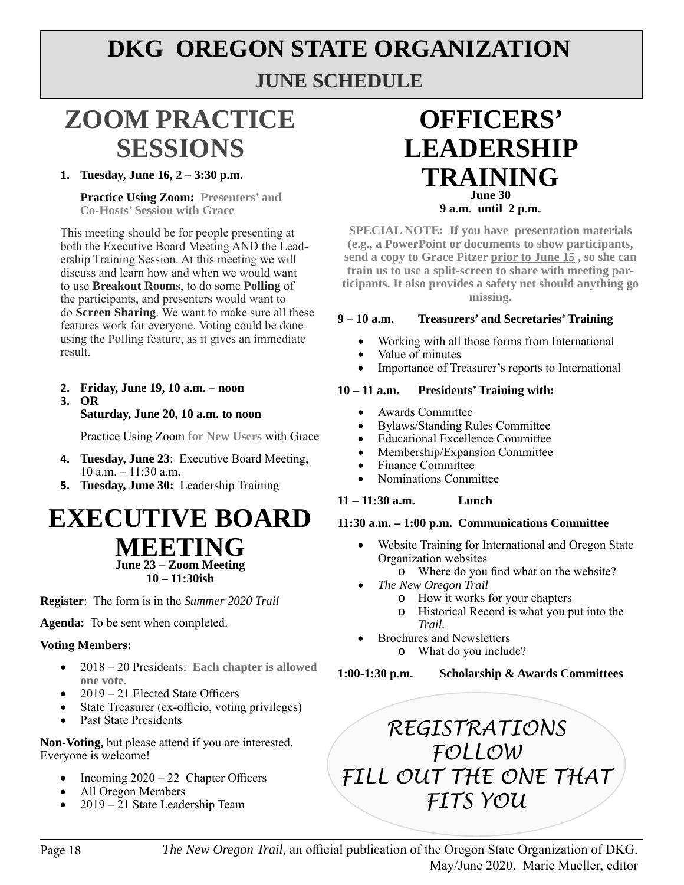## **DKG OREGON STATE ORGANIZATION JUNE SCHEDULE**

## **ZOOM PRACTICE SESSIONS**

## **1. Tuesday, June 16, 2 – 3:30 p.m.**

**Practice Using Zoom: Presenters' and Co-Hosts' Session with Grace**

This meeting should be for people presenting at both the Executive Board Meeting AND the Leadership Training Session. At this meeting we will discuss and learn how and when we would want to use **Breakout Room**s, to do some **Polling** of the participants, and presenters would want to do **Screen Sharing**. We want to make sure all these features work for everyone. Voting could be done using the Polling feature, as it gives an immediate result.

## **2. Friday, June 19, 10 a.m. – noon**

#### **3. OR**

### **Saturday, June 20, 10 a.m. to noon**

Practice Using Zoom **for New Users** with Grace

- **4. Tuesday, June 23**: Executive Board Meeting, 10 a.m. – 11:30 a.m.
- **5. Tuesday, June 30:** Leadership Training

## **EXECUTIVE BOARD MEETING June 23 – Zoom Meeting**

**10 – 11:30ish**

**Register**: The form is in the *Summer 2020 Trail*

**Agenda:** To be sent when completed.

#### **Voting Members:**

- • 2018 20 Presidents: **Each chapter is allowed one vote.**
- $2019 21$  Elected State Officers
- State Treasurer (ex-officio, voting privileges)
- Past State Presidents

**Non-Voting,** but please attend if you are interested. Everyone is welcome!

- Incoming  $2020 22$  Chapter Officers
- All Oregon Members
- $2019 21$  State Leadership Team

## **OFFICERS' LEADERSHIP TRAINING June 30 9 a.m. until 2 p.m.**

**SPECIAL NOTE: If you have presentation materials (e.g., a PowerPoint or documents to show participants, send a copy to Grace Pitzer prior to June 15 , so she can train us to use a split-screen to share with meeting participants. It also provides a safety net should anything go missing.**

#### **9 – 10 a.m. Treasurers' and Secretaries' Training**

- Working with all those forms from International
- Value of minutes
- Importance of Treasurer's reports to International

#### **10 – 11 a.m. Presidents' Training with:**

- Awards Committee
- Bylaws/Standing Rules Committee
- • Educational Excellence Committee
- Membership/Expansion Committee
- Finance Committee
- Nominations Committee

#### **11 – 11:30 a.m. Lunch**

#### **11:30 a.m. – 1:00 p.m. Communications Committee**

- Website Training for International and Oregon State Organization websites
	- o Where do you find what on the website?
- *The New Oregon Trail* 
	- o How it works for your chapters
	- o Historical Record is what you put into the *Trail.*
	- **Brochures and Newsletters** 
		- o What do you include?

**1:00-1:30 p.m. Scholarship & Awards Committees**

*REGISTRATIONS FOLLOW FILL OUT THE ONE THAT FITS YOU*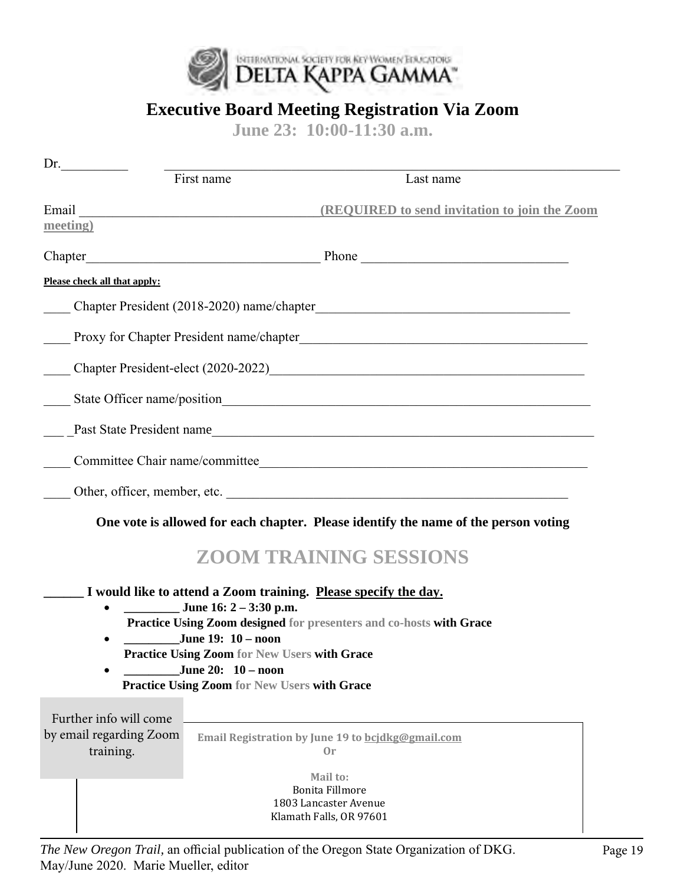

## **Executive Board Meeting Registration Via Zoom**

**June 23: 10:00-11:30 a.m.** 

| Dr.                                  |                                                                                    |                                                                                                                                                                                                                               |
|--------------------------------------|------------------------------------------------------------------------------------|-------------------------------------------------------------------------------------------------------------------------------------------------------------------------------------------------------------------------------|
|                                      | First name                                                                         | Last name                                                                                                                                                                                                                     |
| Email                                |                                                                                    | <b>(REQUIRED to send invitation to join the Zoom)</b>                                                                                                                                                                         |
| meeting)                             |                                                                                    |                                                                                                                                                                                                                               |
| Chapter                              |                                                                                    | Phone Phone Phone Phone Phone Phone Phone Phone Phone Phone Phone Phone Phone Phone Phone Phone Phone Phone Phone Phone Phone Phone Phone Phone Phone Phone Phone Phone Phone Phone Phone Phone Phone Phone Phone Phone Phone |
| Please check all that apply:         |                                                                                    |                                                                                                                                                                                                                               |
|                                      |                                                                                    |                                                                                                                                                                                                                               |
|                                      |                                                                                    |                                                                                                                                                                                                                               |
|                                      |                                                                                    | Chapter President-elect (2020-2022)                                                                                                                                                                                           |
|                                      |                                                                                    |                                                                                                                                                                                                                               |
|                                      |                                                                                    | Past State President name                                                                                                                                                                                                     |
|                                      |                                                                                    |                                                                                                                                                                                                                               |
|                                      |                                                                                    | Other, officer, member, etc.                                                                                                                                                                                                  |
|                                      |                                                                                    | One vote is allowed for each chapter. Please identify the name of the person voting                                                                                                                                           |
|                                      |                                                                                    | <b>ZOOM TRAINING SESSIONS</b>                                                                                                                                                                                                 |
|                                      |                                                                                    | I would like to attend a Zoom training. Please specify the day.                                                                                                                                                               |
|                                      | June 16: $2 - 3:30$ p.m.                                                           | Practice Using Zoom designed for presenters and co-hosts with Grace                                                                                                                                                           |
|                                      | June 19: 10 - noon                                                                 |                                                                                                                                                                                                                               |
|                                      |                                                                                    | <b>Practice Using Zoom for New Users with Grace</b>                                                                                                                                                                           |
|                                      | June 20: $10 - \text{noon}$<br><b>Practice Using Zoom for New Users with Grace</b> |                                                                                                                                                                                                                               |
|                                      |                                                                                    |                                                                                                                                                                                                                               |
| Further info will come               |                                                                                    |                                                                                                                                                                                                                               |
| by email regarding Zoom<br>training. |                                                                                    | Email Registration by June 19 to bcjdkg@gmail.com<br>0r                                                                                                                                                                       |
|                                      |                                                                                    | Mail to:                                                                                                                                                                                                                      |
|                                      |                                                                                    | <b>Bonita Fillmore</b>                                                                                                                                                                                                        |
|                                      |                                                                                    | 1803 Lancaster Avenue<br>Klamath Falls, OR 97601                                                                                                                                                                              |
|                                      |                                                                                    |                                                                                                                                                                                                                               |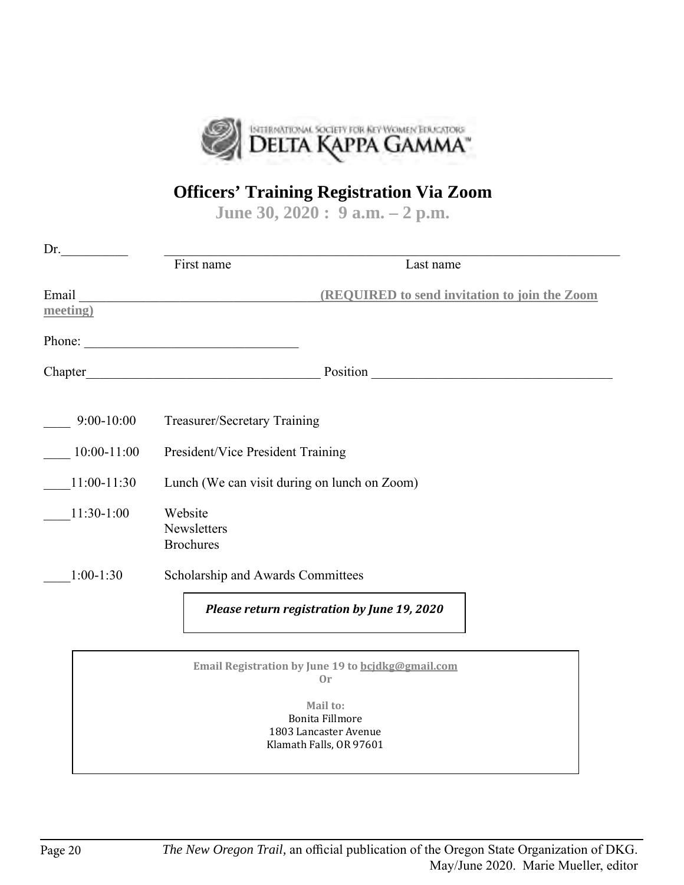

## **Officers' Training Registration Via Zoom**

**June 30, 2020 : 9 a.m. – 2 p.m.** 

| Dr.               |                                              |                                                         |  |
|-------------------|----------------------------------------------|---------------------------------------------------------|--|
|                   | First name                                   | Last name                                               |  |
| Email<br>meeting) |                                              | <b>(REQUIRED to send invitation to join the Zoom)</b>   |  |
|                   | Phone:                                       |                                                         |  |
|                   |                                              | Position                                                |  |
| $9:00-10:00$      | Treasurer/Secretary Training                 |                                                         |  |
| $10:00 - 11:00$   | President/Vice President Training            |                                                         |  |
| $11:00-11:30$     | Lunch (We can visit during on lunch on Zoom) |                                                         |  |
| $11:30-1:00$      | Website<br>Newsletters<br><b>Brochures</b>   |                                                         |  |
| $1:00-1:30$       | Scholarship and Awards Committees            |                                                         |  |
|                   |                                              | Please return registration by June 19, 2020             |  |
|                   |                                              | Email Registration by June 19 to bcjdkg@gmail.com<br>0r |  |

**Mail to:**  Bonita Fillmore 1803 Lancaster Avenue Klamath Falls, OR 97601